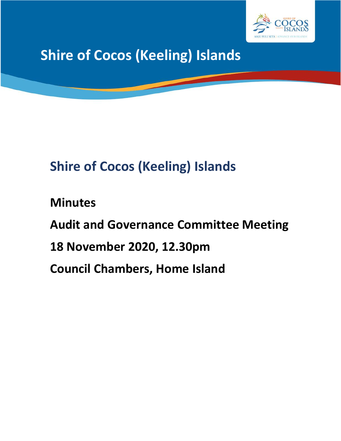

**Shire of Cocos (Keeling) Islands**

# **Shire of Cocos (Keeling) Islands**

**Minutes Audit and Governance Committee Meeting 18 November 2020, 12.30pm Council Chambers, Home Island**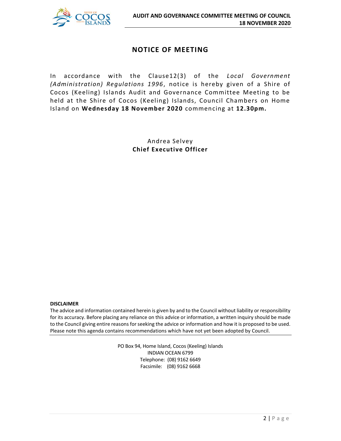

# **NOTICE OF MEETING**

In accordance with the Clause12(3) of the *Local Government (Administration) Regulations 1996*, notice is hereby given of a Shire of Cocos (Keeling) Islands Audit and Governance Committee Meeting to be held at the Shire of Cocos (Keeling) Islands, Council Chambers on Home Island on **Wednesday 18 November 2020** commencing at **12.30pm.**

> Andrea Selvey **Chief Executive Officer**

#### **DISCLAIMER**

The advice and information contained herein is given by and to the Council without liability or responsibility for its accuracy. Before placing any reliance on this advice or information, a written inquiry should be made to the Council giving entire reasons for seeking the advice or information and how it is proposed to be used. Please note this agenda contains recommendations which have not yet been adopted by Council.

> PO Box 94, Home Island, Cocos (Keeling) Islands INDIAN OCEAN 6799 Telephone: (08) 9162 6649 Facsimile: (08) 9162 6668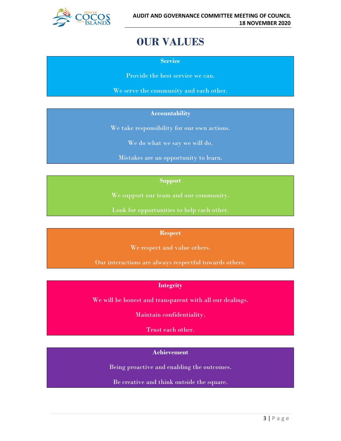

# **OUR VALUES**

**Service**

Provide the best service we can.

We serve the community and each other.

#### **Accountability**

We take responsibility for our own actions.

We do what we say we will do.

Mistakes are an opportunity to learn.

#### **Support**

We support our team and our community.

Look for opportunities to help each other.

#### **Respect**

We respect and value others.

Our interactions are always respectful towards others.

#### **Integrity**

We will be honest and transparent with all our dealings.

Maintain confidentiality.

Trust each other.

#### **Achievement**

Being proactive and enabling the outcomes.

Be creative and think outside the square.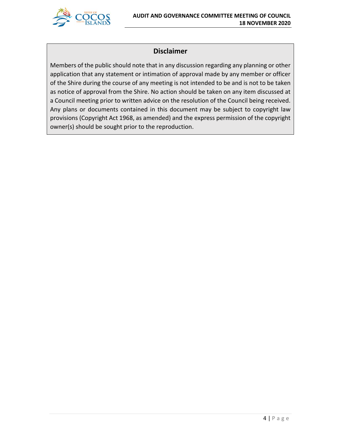

# **Disclaimer**

Members of the public should note that in any discussion regarding any planning or other application that any statement or intimation of approval made by any member or officer of the Shire during the course of any meeting is not intended to be and is not to be taken as notice of approval from the Shire. No action should be taken on any item discussed at a Council meeting prior to written advice on the resolution of the Council being received. Any plans or documents contained in this document may be subject to copyright law provisions (Copyright Act 1968, as amended) and the express permission of the copyright owner(s) should be sought prior to the reproduction.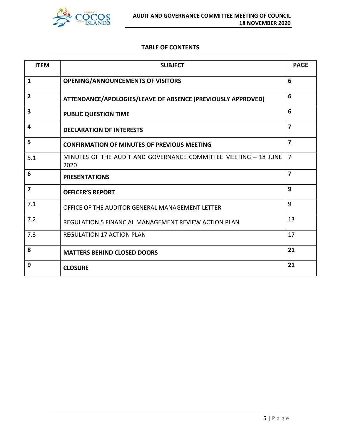

#### **TABLE OF CONTENTS**

| <b>ITEM</b>    | <b>SUBJECT</b>                                                          | <b>PAGE</b>             |
|----------------|-------------------------------------------------------------------------|-------------------------|
| 1              | <b>OPENING/ANNOUNCEMENTS OF VISITORS</b>                                | 6                       |
| $\overline{2}$ | ATTENDANCE/APOLOGIES/LEAVE OF ABSENCE (PREVIOUSLY APPROVED)             | 6                       |
| 3              | <b>PUBLIC QUESTION TIME</b>                                             | 6                       |
| 4              | <b>DECLARATION OF INTERESTS</b>                                         | $\overline{7}$          |
| 5              | <b>CONFIRMATION OF MINUTES OF PREVIOUS MEETING</b>                      | $\overline{\mathbf{z}}$ |
| 5.1            | MINUTES OF THE AUDIT AND GOVERNANCE COMMITTEE MEETING - 18 JUNE<br>2020 | $\overline{7}$          |
| 6              | <b>PRESENTATIONS</b>                                                    | $\overline{\mathbf{z}}$ |
| $\overline{7}$ | <b>OFFICER'S REPORT</b>                                                 | 9                       |
| 7.1            | OFFICE OF THE AUDITOR GENERAL MANAGEMENT LETTER                         | 9                       |
| 7.2            | REGULATION 5 FINANCIAL MANAGEMENT REVIEW ACTION PLAN                    | 13                      |
| 7.3            | <b>REGULATION 17 ACTION PLAN</b>                                        | 17                      |
| 8              | <b>MATTERS BEHIND CLOSED DOORS</b>                                      | 21                      |
| 9              | <b>CLOSURE</b>                                                          | 21                      |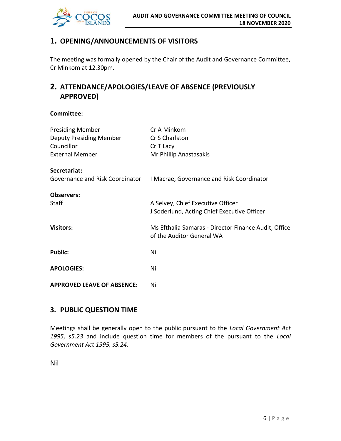

# **1. OPENING/ANNOUNCEMENTS OF VISITORS**

The meeting was formally opened by the Chair of the Audit and Governance Committee, Cr Minkom at 12.30pm.

# **2. ATTENDANCE/APOLOGIES/LEAVE OF ABSENCE (PREVIOUSLY APPROVED)**

#### **Committee:**

| <b>Presiding Member</b><br><b>Deputy Presiding Member</b><br>Councillor<br><b>External Member</b> | Cr A Minkom<br>Cr S Charlston<br>Cr T Lacy<br>Mr Phillip Anastasakis              |
|---------------------------------------------------------------------------------------------------|-----------------------------------------------------------------------------------|
| Secretariat:                                                                                      | Governance and Risk Coordinator   Macrae, Governance and Risk Coordinator         |
| <b>Observers:</b><br><b>Staff</b>                                                                 | A Selvey, Chief Executive Officer<br>J Soderlund, Acting Chief Executive Officer  |
| <b>Visitors:</b>                                                                                  | Ms Efthalia Samaras - Director Finance Audit, Office<br>of the Auditor General WA |
| <b>Public:</b>                                                                                    | Nil                                                                               |
| <b>APOLOGIES:</b>                                                                                 | Nil                                                                               |
| <b>APPROVED LEAVE OF ABSENCE:</b>                                                                 | Nil                                                                               |

# **3. PUBLIC QUESTION TIME**

Meetings shall be generally open to the public pursuant to the *Local Government Act 1995, s5.23* and include question time for members of the pursuant to the *Local Government Act 1995, s5.24.*

Nil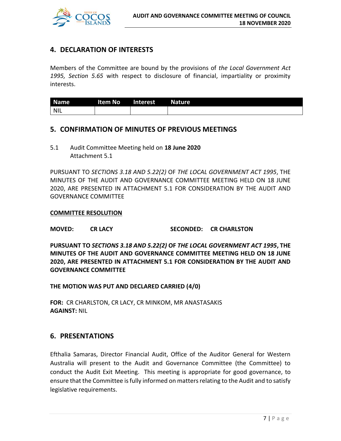

# **4. DECLARATION OF INTERESTS**

Members of the Committee are bound by the provisions of *the Local Government Act 1995, Section 5.65* with respect to disclosure of financial, impartiality or proximity interests.

| <b>Name</b> | Item No | Interest | <b>Nature</b> |
|-------------|---------|----------|---------------|
| <b>NIL</b>  |         |          |               |

#### **5. CONFIRMATION OF MINUTES OF PREVIOUS MEETINGS**

5.1 Audit Committee Meeting held on **18 June 2020** Attachment 5.1

PURSUANT TO *SECTIONS 3.18 AND 5.22(2)* OF *THE LOCAL GOVERNMENT ACT 1995*, THE MINUTES OF THE AUDIT AND GOVERNANCE COMMITTEE MEETING HELD ON 18 JUNE 2020, ARE PRESENTED IN ATTACHMENT 5.1 FOR CONSIDERATION BY THE AUDIT AND GOVERNANCE COMMITTEE

#### **COMMITTEE RESOLUTION**

#### **MOVED: CR LACY SECONDED: CR CHARLSTON**

**PURSUANT TO** *SECTIONS 3.18 AND 5.22(2)* **OF** *THE LOCAL GOVERNMENT ACT 1995***, THE MINUTES OF THE AUDIT AND GOVERNANCE COMMITTEE MEETING HELD ON 18 JUNE 2020, ARE PRESENTED IN ATTACHMENT 5.1 FOR CONSIDERATION BY THE AUDIT AND GOVERNANCE COMMITTEE**

#### **THE MOTION WAS PUT AND DECLARED CARRIED (4/0)**

**FOR:** CR CHARLSTON, CR LACY, CR MINKOM, MR ANASTASAKIS **AGAINST:** NIL

#### **6. PRESENTATIONS**

Efthalia Samaras, Director Financial Audit, Office of the Auditor General for Western Australia will present to the Audit and Governance Committee (the Committee) to conduct the Audit Exit Meeting. This meeting is appropriate for good governance, to ensure that the Committee is fully informed on matters relating to the Audit and to satisfy legislative requirements.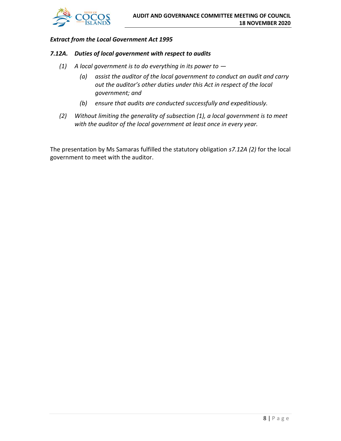

#### *Extract from the Local Government Act 1995*

#### *7.12A. Duties of local government with respect to audits*

- *(1) A local government is to do everything in its power to —*
	- *(a) assist the auditor of the local government to conduct an audit and carry out the auditor's other duties under this Act in respect of the local government; and*
	- *(b) ensure that audits are conducted successfully and expeditiously.*
- *(2) Without limiting the generality of subsection (1), a local government is to meet with the auditor of the local government at least once in every year.*

The presentation by Ms Samaras fulfilled the statutory obligation *s7.12A (2)* for the local government to meet with the auditor.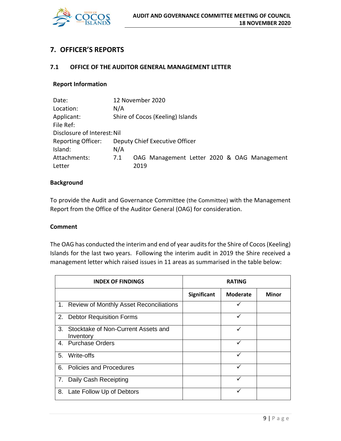

# **7. OFFICER'S REPORTS**

#### **7.1 OFFICE OF THE AUDITOR GENERAL MANAGEMENT LETTER**

#### **Report Information**

| Date:                       | 12 November 2020 |      |                                  |  |  |  |                                             |
|-----------------------------|------------------|------|----------------------------------|--|--|--|---------------------------------------------|
| Location:                   | N/A              |      |                                  |  |  |  |                                             |
| Applicant:                  |                  |      | Shire of Cocos (Keeling) Islands |  |  |  |                                             |
| File Ref:                   |                  |      |                                  |  |  |  |                                             |
| Disclosure of Interest: Nil |                  |      |                                  |  |  |  |                                             |
| <b>Reporting Officer:</b>   |                  |      | Deputy Chief Executive Officer   |  |  |  |                                             |
| Island:                     | N/A              |      |                                  |  |  |  |                                             |
| Attachments:                | 7.1              |      |                                  |  |  |  | OAG Management Letter 2020 & OAG Management |
| Letter                      |                  | 2019 |                                  |  |  |  |                                             |

#### **Background**

To provide the Audit and Governance Committee (the Committee) with the Management Report from the Office of the Auditor General (OAG) for consideration.

#### **Comment**

The OAG has conducted the interim and end of year audits for the Shire of Cocos (Keeling) Islands for the last two years. Following the interim audit in 2019 the Shire received a management letter which raised issues in 11 areas as summarised in the table below:

|    | <b>INDEX OF FINDINGS</b>                         |                    |                 |       |
|----|--------------------------------------------------|--------------------|-----------------|-------|
|    |                                                  | <b>Significant</b> | <b>Moderate</b> | Minor |
|    | 1. Review of Monthly Asset Reconciliations       |                    |                 |       |
|    | 2. Debtor Requisition Forms                      |                    | ✓               |       |
| 3. | Stocktake of Non-Current Assets and<br>Inventory |                    | ✓               |       |
|    | 4. Purchase Orders                               |                    | ✓               |       |
| 5. | Write-offs                                       |                    |                 |       |
|    | 6. Policies and Procedures                       |                    |                 |       |
|    | 7. Daily Cash Receipting                         |                    | ✓               |       |
|    | 8. Late Follow Up of Debtors                     |                    |                 |       |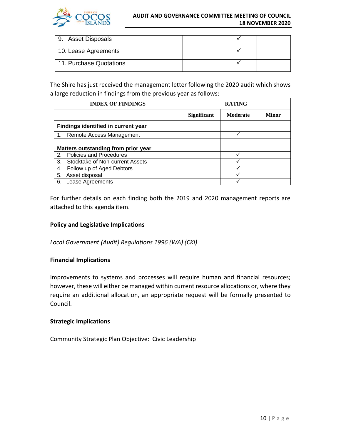

#### **AUDIT AND GOVERNANCE COMMITTEE MEETING OF COUNCIL 18 NOVEMBER 2020**

| 9. Asset Disposals      |  |  |
|-------------------------|--|--|
| 10. Lease Agreements    |  |  |
| 11. Purchase Quotations |  |  |

The Shire has just received the management letter following the 2020 audit which shows a large reduction in findings from the previous year as follows:

| <b>INDEX OF FINDINGS</b> |                                     |                    | <b>RATING</b>   |              |  |
|--------------------------|-------------------------------------|--------------------|-----------------|--------------|--|
|                          |                                     | <b>Significant</b> | <b>Moderate</b> | <b>Minor</b> |  |
|                          | Findings identified in current year |                    |                 |              |  |
|                          | Remote Access Management            |                    |                 |              |  |
|                          |                                     |                    |                 |              |  |
|                          | Matters outstanding from prior year |                    |                 |              |  |
| 2.                       | <b>Policies and Procedures</b>      |                    | ✓               |              |  |
| 3.                       | Stocktake of Non-current Assets     |                    |                 |              |  |
| 4.                       | Follow up of Aged Debtors           |                    |                 |              |  |
| 5.                       | Asset disposal                      |                    |                 |              |  |
| 6.                       | Lease Agreements                    |                    |                 |              |  |

For further details on each finding both the 2019 and 2020 management reports are attached to this agenda item.

#### **Policy and Legislative Implications**

*Local Government (Audit) Regulations 1996 (WA) (CKI)*

#### **Financial Implications**

Improvements to systems and processes will require human and financial resources; however, these will either be managed within current resource allocations or, where they require an additional allocation, an appropriate request will be formally presented to Council.

#### **Strategic Implications**

Community Strategic Plan Objective: Civic Leadership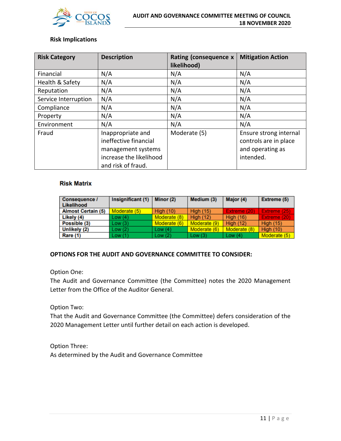

#### **Risk Implications**

| <b>Risk Category</b> | <b>Description</b>                                                                                                | Rating (consequence x<br>likelihood) | <b>Mitigation Action</b>                                                         |
|----------------------|-------------------------------------------------------------------------------------------------------------------|--------------------------------------|----------------------------------------------------------------------------------|
| Financial            | N/A                                                                                                               | N/A                                  | N/A                                                                              |
| Health & Safety      | N/A                                                                                                               | N/A                                  | N/A                                                                              |
| Reputation           | N/A                                                                                                               | N/A                                  | N/A                                                                              |
| Service Interruption | N/A                                                                                                               | N/A                                  | N/A                                                                              |
| Compliance           | N/A                                                                                                               | N/A                                  | N/A                                                                              |
| Property             | N/A                                                                                                               | N/A                                  | N/A                                                                              |
| Environment          | N/A                                                                                                               | N/A                                  | N/A                                                                              |
| Fraud                | Inappropriate and<br>ineffective financial<br>management systems<br>increase the likelihood<br>and risk of fraud. | Moderate (5)                         | Ensure strong internal<br>controls are in place<br>and operating as<br>intended. |

#### **Risk Matrix**

| Consequence /<br>Likelihood | Insignificant (1) | Minor (2)        | Medium (3)       | Major (4)        | Extreme (5)      |
|-----------------------------|-------------------|------------------|------------------|------------------|------------------|
| <b>Almost Certain (5)</b>   | Moderate (5)      | <b>High (10)</b> | <b>High (15)</b> | Extreme (20)     | Extreme (25)     |
| Likely (4)                  | Low(4)            | Moderate (8)     | <b>High (12)</b> | <b>High (16)</b> | Extreme (20)     |
| Possible (3)                | Low(3)            | Moderate (6)     | Moderate (9)     | High $(12)$      | <b>High (15)</b> |
| Unlikely (2)                | Low(2)            | Low $(4)$        | Moderate (6)     | Moderate (8)     | <b>High (10)</b> |
| Rare (1)                    | Low(1)            | Low $(2)$        | Low(3)           | Low $(4)$        | Moderate (5)     |

#### **OPTIONS FOR THE AUDIT AND GOVERNANCE COMMITTEE TO CONSIDER:**

Option One:

The Audit and Governance Committee (the Committee) notes the 2020 Management Letter from the Office of the Auditor General.

Option Two:

That the Audit and Governance Committee (the Committee) defers consideration of the 2020 Management Letter until further detail on each action is developed.

Option Three: As determined by the Audit and Governance Committee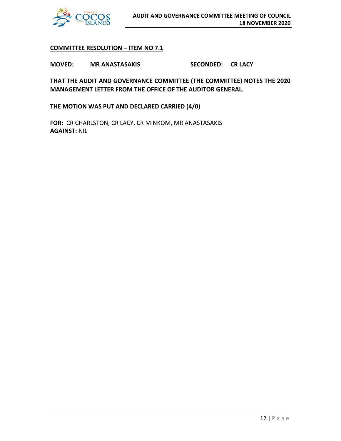

#### **COMMITTEE RESOLUTION – ITEM NO 7.1**

**MOVED: MR ANASTASAKIS SECONDED: CR LACY**

**THAT THE AUDIT AND GOVERNANCE COMMITTEE (THE COMMITTEE) NOTES THE 2020 MANAGEMENT LETTER FROM THE OFFICE OF THE AUDITOR GENERAL.** 

**THE MOTION WAS PUT AND DECLARED CARRIED (4/0)**

**FOR:** CR CHARLSTON, CR LACY, CR MINKOM, MR ANASTASAKIS **AGAINST:** NIL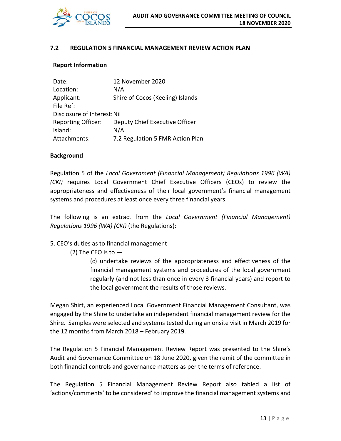

#### **7.2 REGULATION 5 FINANCIAL MANAGEMENT REVIEW ACTION PLAN**

#### **Report Information**

| Date:                       | 12 November 2020                 |
|-----------------------------|----------------------------------|
| Location:                   | N/A                              |
| Applicant:                  | Shire of Cocos (Keeling) Islands |
| File Ref:                   |                                  |
| Disclosure of Interest: Nil |                                  |
| <b>Reporting Officer:</b>   | Deputy Chief Executive Officer   |
| Island:                     | N/A                              |
| Attachments:                | 7.2 Regulation 5 FMR Action Plan |

#### **Background**

Regulation 5 of the *Local Government (Financial Management) Regulations 1996 (WA) (CKI)* requires Local Government Chief Executive Officers (CEOs) to review the appropriateness and effectiveness of their local government's financial management systems and procedures at least once every three financial years.

The following is an extract from the *Local Government (Financial Management) Regulations 1996 (WA) (CKI)* (the Regulations):

5. CEO's duties as to financial management

(2) The CEO is to  $-$ 

(c) undertake reviews of the appropriateness and effectiveness of the financial management systems and procedures of the local government regularly (and not less than once in every 3 financial years) and report to the local government the results of those reviews.

Megan Shirt, an experienced Local Government Financial Management Consultant, was engaged by the Shire to undertake an independent financial management review for the Shire. Samples were selected and systems tested during an onsite visit in March 2019 for the 12 months from March 2018 – February 2019.

The Regulation 5 Financial Management Review Report was presented to the Shire's Audit and Governance Committee on 18 June 2020, given the remit of the committee in both financial controls and governance matters as per the terms of reference.

The Regulation 5 Financial Management Review Report also tabled a list of 'actions/comments' to be considered' to improve the financial management systems and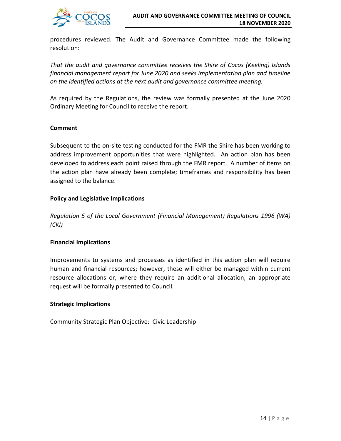

procedures reviewed. The Audit and Governance Committee made the following resolution:

*That the audit and governance committee receives the Shire of Cocos (Keeling) Islands financial management report for June 2020 and seeks implementation plan and timeline on the identified actions at the next audit and governance committee meeting.*

As required by the Regulations, the review was formally presented at the June 2020 Ordinary Meeting for Council to receive the report.

#### **Comment**

Subsequent to the on-site testing conducted for the FMR the Shire has been working to address improvement opportunities that were highlighted. An action plan has been developed to address each point raised through the FMR report. A number of items on the action plan have already been complete; timeframes and responsibility has been assigned to the balance.

#### **Policy and Legislative Implications**

*Regulation 5 of the Local Government (Financial Management) Regulations 1996 (WA) (CKI)*

#### **Financial Implications**

Improvements to systems and processes as identified in this action plan will require human and financial resources; however, these will either be managed within current resource allocations or, where they require an additional allocation, an appropriate request will be formally presented to Council.

#### **Strategic Implications**

Community Strategic Plan Objective: Civic Leadership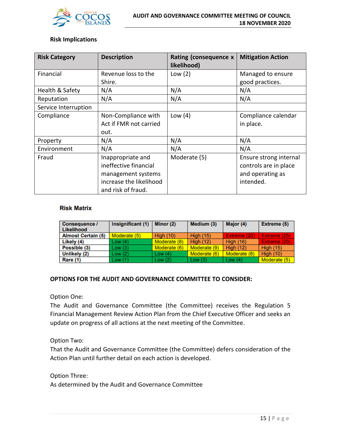

#### **Risk Implications**

| <b>Risk Category</b> | <b>Description</b>                                                                                                | Rating (consequence x<br>likelihood) | <b>Mitigation Action</b>                                                         |
|----------------------|-------------------------------------------------------------------------------------------------------------------|--------------------------------------|----------------------------------------------------------------------------------|
| Financial            | Revenue loss to the<br>Shire.                                                                                     | Low $(2)$                            | Managed to ensure<br>good practices.                                             |
| Health & Safety      | N/A                                                                                                               | N/A                                  | N/A                                                                              |
| Reputation           | N/A                                                                                                               | N/A                                  | N/A                                                                              |
| Service Interruption |                                                                                                                   |                                      |                                                                                  |
| Compliance           | Non-Compliance with<br>Act if FMR not carried<br>out.                                                             | Low $(4)$                            | Compliance calendar<br>in place.                                                 |
| Property             | N/A                                                                                                               | N/A                                  | N/A                                                                              |
| Environment          | N/A                                                                                                               | N/A                                  | N/A                                                                              |
| Fraud                | Inappropriate and<br>ineffective financial<br>management systems<br>increase the likelihood<br>and risk of fraud. | Moderate (5)                         | Ensure strong internal<br>controls are in place<br>and operating as<br>intended. |

#### **Risk Matrix**

| <b>Consequence /</b><br>Likelihood | Insignificant (1) | Minor (2)    | Medium (3)       | Major (4)        | Extreme (5)      |
|------------------------------------|-------------------|--------------|------------------|------------------|------------------|
| <b>Almost Certain (5)</b>          | Moderate (5)      | High $(10)$  | <b>High (15)</b> | Extreme (20)     | Extreme (25)     |
| Likely (4)                         | Low(4)            | Moderate (8) | High $(12)$      | <b>High (16)</b> | Extreme (20)     |
| Possible (3)                       | Low(3)            | Moderate (6) | Moderate (9)     | <b>High (12)</b> | <b>High (15)</b> |
| Unlikely (2)                       | Low(2)            | Low $(4)$    | Moderate (6)     | Moderate (8)     | <b>High (10)</b> |
| Rare (1)                           | Low(1)            | Low $(2)$    | Low $(3)$        | Low $(4)$        | Moderate (5)     |

#### **OPTIONS FOR THE AUDIT AND GOVERNANCE COMMITTEE TO CONSIDER:**

Option One:

The Audit and Governance Committee (the Committee) receives the Regulation 5 Financial Management Review Action Plan from the Chief Executive Officer and seeks an update on progress of all actions at the next meeting of the Committee.

Option Two:

That the Audit and Governance Committee (the Committee) defers consideration of the Action Plan until further detail on each action is developed.

Option Three:

As determined by the Audit and Governance Committee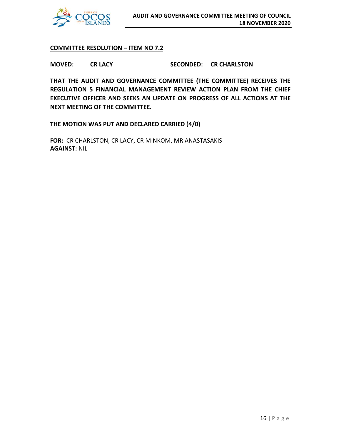

#### **COMMITTEE RESOLUTION – ITEM NO 7.2**

**MOVED: CR LACY SECONDED: CR CHARLSTON**

**THAT THE AUDIT AND GOVERNANCE COMMITTEE (THE COMMITTEE) RECEIVES THE REGULATION 5 FINANCIAL MANAGEMENT REVIEW ACTION PLAN FROM THE CHIEF EXECUTIVE OFFICER AND SEEKS AN UPDATE ON PROGRESS OF ALL ACTIONS AT THE NEXT MEETING OF THE COMMITTEE.**

**THE MOTION WAS PUT AND DECLARED CARRIED (4/0)**

**FOR:** CR CHARLSTON, CR LACY, CR MINKOM, MR ANASTASAKIS **AGAINST:** NIL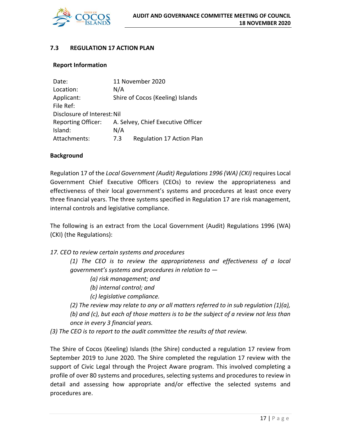

#### **7.3 REGULATION 17 ACTION PLAN**

#### **Report Information**

| Date:                       | 11 November 2020                   |                                  |  |  |  |  |
|-----------------------------|------------------------------------|----------------------------------|--|--|--|--|
| Location:                   | N/A                                |                                  |  |  |  |  |
| Applicant:                  |                                    | Shire of Cocos (Keeling) Islands |  |  |  |  |
| File Ref:                   |                                    |                                  |  |  |  |  |
| Disclosure of Interest: Nil |                                    |                                  |  |  |  |  |
| <b>Reporting Officer:</b>   | A. Selvey, Chief Executive Officer |                                  |  |  |  |  |
| Island:                     | N/A                                |                                  |  |  |  |  |
| Attachments:                | 7.3                                | Regulation 17 Action Plan        |  |  |  |  |

#### **Background**

Regulation 17 of the *Local Government (Audit) Regulations 1996 (WA) (CKI)* requires Local Government Chief Executive Officers (CEOs) to review the appropriateness and effectiveness of their local government's systems and procedures at least once every three financial years. The three systems specified in Regulation 17 are risk management, internal controls and legislative compliance.

The following is an extract from the Local Government (Audit) Regulations 1996 (WA) (CKI) (the Regulations):

*17. CEO to review certain systems and procedures* 

*(1) The CEO is to review the appropriateness and effectiveness of a local government's systems and procedures in relation to —*

- *(a) risk management; and*
- *(b) internal control; and*
- *(c) legislative compliance.*

*(2) The review may relate to any or all matters referred to in sub regulation (1)(a), (b) and (c), but each of those matters is to be the subject of a review not less than once in every 3 financial years.* 

*(3) The CEO is to report to the audit committee the results of that review.*

The Shire of Cocos (Keeling) Islands (the Shire) conducted a regulation 17 review from September 2019 to June 2020. The Shire completed the regulation 17 review with the support of Civic Legal through the Project Aware program. This involved completing a profile of over 80 systems and procedures, selecting systems and procedures to review in detail and assessing how appropriate and/or effective the selected systems and procedures are.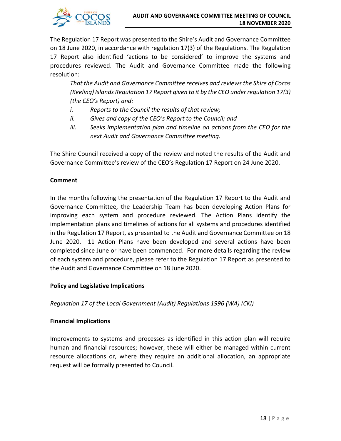

The Regulation 17 Report was presented to the Shire's Audit and Governance Committee on 18 June 2020, in accordance with regulation 17(3) of the Regulations. The Regulation 17 Report also identified 'actions to be considered' to improve the systems and procedures reviewed. The Audit and Governance Committee made the following resolution:

*That the Audit and Governance Committee receives and reviews the Shire of Cocos (Keeling) Islands Regulation 17 Report given to it by the CEO under regulation 17(3) (the CEO's Report) and:*

- *i. Reports to the Council the results of that review;*
- *ii. Gives and copy of the CEO's Report to the Council; and*
- *iii. Seeks implementation plan and timeline on actions from the CEO for the next Audit and Governance Committee meeting.*

The Shire Council received a copy of the review and noted the results of the Audit and Governance Committee's review of the CEO's Regulation 17 Report on 24 June 2020.

#### **Comment**

In the months following the presentation of the Regulation 17 Report to the Audit and Governance Committee, the Leadership Team has been developing Action Plans for improving each system and procedure reviewed. The Action Plans identify the implementation plans and timelines of actions for all systems and procedures identified in the Regulation 17 Report, as presented to the Audit and Governance Committee on 18 June 2020. 11 Action Plans have been developed and several actions have been completed since June or have been commenced. For more details regarding the review of each system and procedure, please refer to the Regulation 17 Report as presented to the Audit and Governance Committee on 18 June 2020.

#### **Policy and Legislative Implications**

*Regulation 17 of the Local Government (Audit) Regulations 1996 (WA) (CKI)*

#### **Financial Implications**

Improvements to systems and processes as identified in this action plan will require human and financial resources; however, these will either be managed within current resource allocations or, where they require an additional allocation, an appropriate request will be formally presented to Council.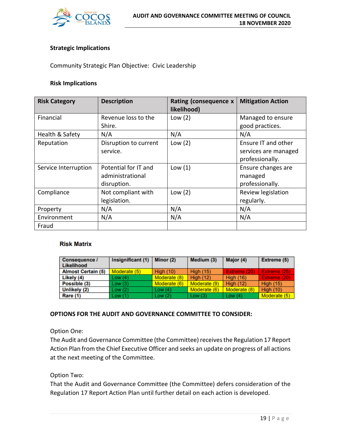

#### **Strategic Implications**

Community Strategic Plan Objective: Civic Leadership

#### **Risk Implications**

| <b>Risk Category</b> | <b>Description</b>                                      | Rating (consequence x<br>likelihood) | <b>Mitigation Action</b>                                       |
|----------------------|---------------------------------------------------------|--------------------------------------|----------------------------------------------------------------|
| Financial            | Revenue loss to the<br>Shire.                           | Low $(2)$                            | Managed to ensure<br>good practices.                           |
| Health & Safety      | N/A                                                     | N/A                                  | N/A                                                            |
| Reputation           | Disruption to current<br>service.                       | Low $(2)$                            | Ensure IT and other<br>services are managed<br>professionally. |
| Service Interruption | Potential for IT and<br>administrational<br>disruption. | Low $(1)$                            | Ensure changes are<br>managed<br>professionally.               |
| Compliance           | Not compliant with<br>legislation.                      | Low $(2)$                            | Review legislation<br>regularly.                               |
| Property             | N/A                                                     | N/A                                  | N/A                                                            |
| Environment          | N/A                                                     | N/A                                  | N/A                                                            |
| Fraud                |                                                         |                                      |                                                                |

#### **Risk Matrix**

| <b>Consequence /</b><br>Likelihood | Insignificant (1) | Minor (2)        | Medium (3)       | Major (4)        | Extreme (5)      |
|------------------------------------|-------------------|------------------|------------------|------------------|------------------|
| <b>Almost Certain (5)</b>          | Moderate (5)      | <b>High (10)</b> | <b>High (15)</b> | Extreme (20)     | Extreme (25)     |
| Likely (4)                         | Low(4)            | Moderate (8)     | <b>High (12)</b> | <b>High (16)</b> | Extreme (20)     |
| Possible (3)                       | Low(3)            | Moderate (6)     | Moderate (9)     | <b>High (12)</b> | <b>High (15)</b> |
| Unlikely (2)                       | Low(2)            | Low $(4)$        | Moderate (6)     | Moderate (8)     | <b>High (10)</b> |
| Rare (1)                           | Low(1)            | Low $(2)$        | Low $(3)$        | Low $(4)$        | Moderate (5)     |

#### **OPTIONS FOR THE AUDIT AND GOVERNANCE COMMITTEE TO CONSIDER:**

Option One:

The Audit and Governance Committee (the Committee) receives the Regulation 17 Report Action Plan from the Chief Executive Officer and seeks an update on progress of all actions at the next meeting of the Committee.

Option Two:

That the Audit and Governance Committee (the Committee) defers consideration of the Regulation 17 Report Action Plan until further detail on each action is developed.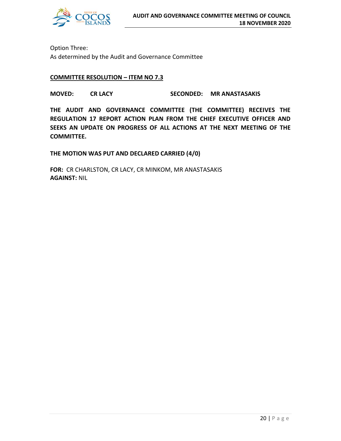

Option Three: As determined by the Audit and Governance Committee

#### **COMMITTEE RESOLUTION – ITEM NO 7.3**

**MOVED: CR LACY SECONDED: MR ANASTASAKIS**

**THE AUDIT AND GOVERNANCE COMMITTEE (THE COMMITTEE) RECEIVES THE REGULATION 17 REPORT ACTION PLAN FROM THE CHIEF EXECUTIVE OFFICER AND SEEKS AN UPDATE ON PROGRESS OF ALL ACTIONS AT THE NEXT MEETING OF THE COMMITTEE.**

**THE MOTION WAS PUT AND DECLARED CARRIED (4/0)**

**FOR:** CR CHARLSTON, CR LACY, CR MINKOM, MR ANASTASAKIS **AGAINST:** NIL